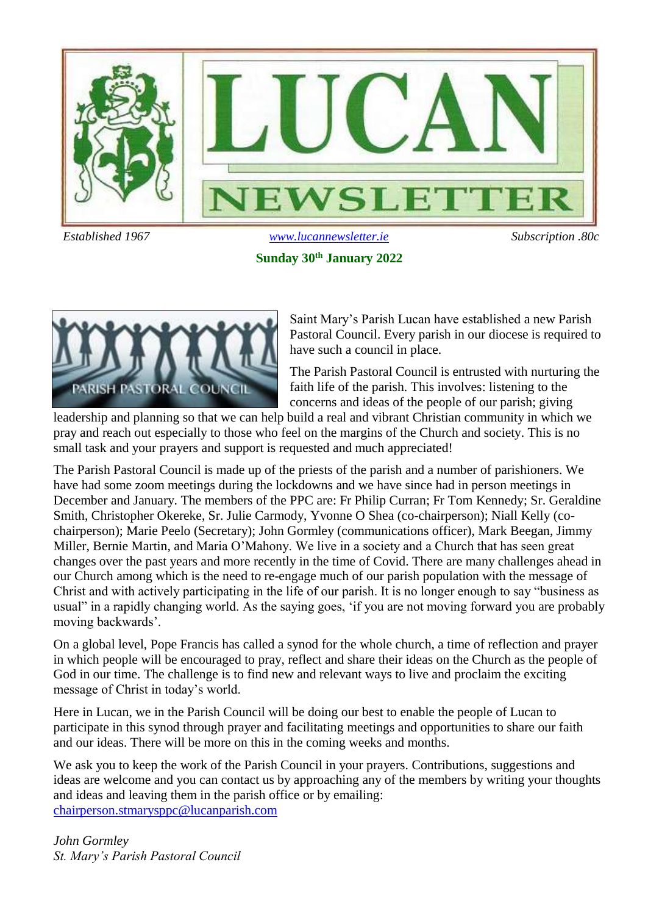

**Sunday 30th January 2022**



Saint Mary's Parish Lucan have established a new Parish Pastoral Council. Every parish in our diocese is required to have such a council in place.

The Parish Pastoral Council is entrusted with nurturing the faith life of the parish. This involves: listening to the concerns and ideas of the people of our parish; giving

leadership and planning so that we can help build a real and vibrant Christian community in which we pray and reach out especially to those who feel on the margins of the Church and society. This is no small task and your prayers and support is requested and much appreciated!

The Parish Pastoral Council is made up of the priests of the parish and a number of parishioners. We have had some zoom meetings during the lockdowns and we have since had in person meetings in December and January. The members of the PPC are: Fr Philip Curran; Fr Tom Kennedy; Sr. Geraldine Smith, Christopher Okereke, Sr. Julie Carmody, Yvonne O Shea (co-chairperson); Niall Kelly (cochairperson); Marie Peelo (Secretary); John Gormley (communications officer), Mark Beegan, Jimmy Miller, Bernie Martin, and Maria O'Mahony. We live in a society and a Church that has seen great changes over the past years and more recently in the time of Covid. There are many challenges ahead in our Church among which is the need to re-engage much of our parish population with the message of Christ and with actively participating in the life of our parish. It is no longer enough to say "business as usual" in a rapidly changing world. As the saying goes, 'if you are not moving forward you are probably moving backwards'.

On a global level, Pope Francis has called a synod for the whole church, a time of reflection and prayer in which people will be encouraged to pray, reflect and share their ideas on the Church as the people of God in our time. The challenge is to find new and relevant ways to live and proclaim the exciting message of Christ in today's world.

Here in Lucan, we in the Parish Council will be doing our best to enable the people of Lucan to participate in this synod through prayer and facilitating meetings and opportunities to share our faith and our ideas. There will be more on this in the coming weeks and months.

We ask you to keep the work of the Parish Council in your prayers. Contributions, suggestions and ideas are welcome and you can contact us by approaching any of the members by writing your thoughts and ideas and leaving them in the parish office or by emailing: [chairperson.stmarysppc@lucanparish.com](mailto:chairperson.lucanppc@lucanparish.com)

*John Gormley St. Mary's Parish Pastoral Council*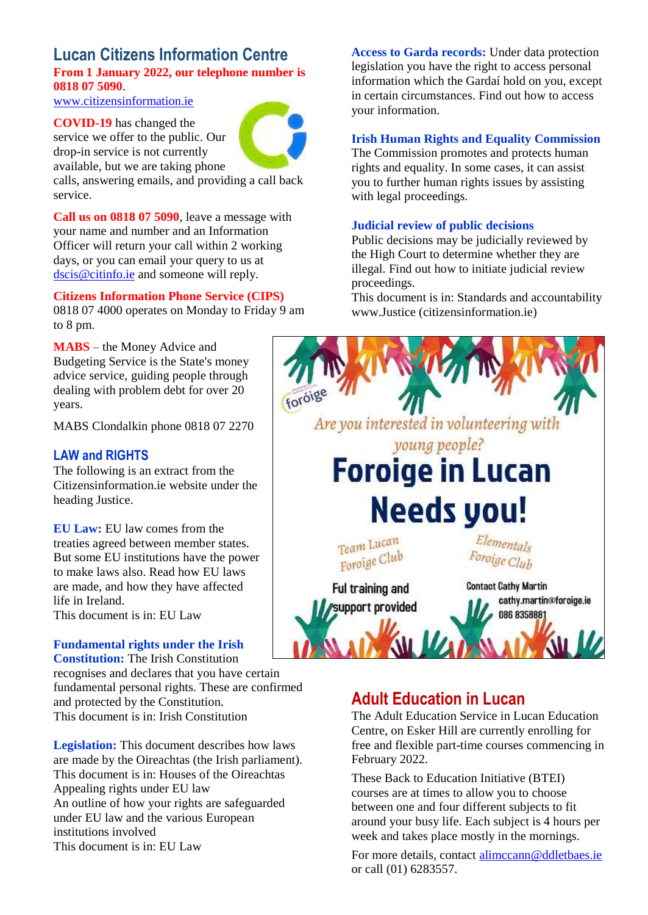### **Lucan Citizens Information Centre From 1 January 2022, our telephone number is 0818 07 5090**.

[www.citizensinformation.ie](http://www.citizensinformation.ie/)

**COVID-19** has changed the service we offer to the public. Our drop-in service is not currently available, but we are taking phone



calls, answering emails, and providing a call back service.

**Call us on 0818 07 5090**, leave a message with your name and number and an Information Officer will return your call within 2 working days, or you can email your query to us at [dscis@citinfo.ie](mailto:dscis@citinfo.ie) and someone will reply.

#### **Citizens Information Phone Service (CIPS)**

0818 07 4000 operates on Monday to Friday 9 am to 8 pm.

**MABS** – the Money Advice and Budgeting Service is the State's money advice service, guiding people through dealing with problem debt for over 20 years.

MABS Clondalkin phone 0818 07 2270

### **LAW and RIGHTS**

The following is an extract from the Citizensinformation.ie website under the heading Justice.

**EU Law:** EU law comes from the treaties agreed between member states. But some EU institutions have the power to make laws also. Read how EU laws are made, and how they have affected life in Ireland. This document is in: EU Law

#### **Fundamental rights under the Irish Constitution:** The Irish Constitution

recognises and declares that you have certain fundamental personal rights. These are confirmed and protected by the Constitution. This document is in: Irish Constitution

**Legislation:** This document describes how laws are made by the Oireachtas (the Irish parliament). This document is in: Houses of the Oireachtas Appealing rights under EU law An outline of how your rights are safeguarded under EU law and the various European institutions involved This document is in: EU Law

**Access to Garda records:** Under data protection legislation you have the right to access personal information which the Gardaí hold on you, except in certain circumstances. Find out how to access your information.

#### **Irish Human Rights and Equality Commission**

The Commission promotes and protects human rights and equality. In some cases, it can assist you to further human rights issues by assisting with legal proceedings.

#### **Judicial review of public decisions**

Public decisions may be judicially reviewed by the High Court to determine whether they are illegal. Find out how to initiate judicial review proceedings.

This document is in: Standards and accountability www.Justice (citizensinformation.ie)



### **Adult Education in Lucan**

The Adult Education Service in Lucan Education Centre, on Esker Hill are currently enrolling for free and flexible part-time courses commencing in February 2022.

These Back to Education Initiative (BTEI) courses are at times to allow you to choose between one and four different subjects to fit around your busy life. Each subject is 4 hours per week and takes place mostly in the mornings.

For more details, contact [alimccann@ddletbaes.ie](mailto:alimccann@ddletbaes.ie) or call (01) 6283557.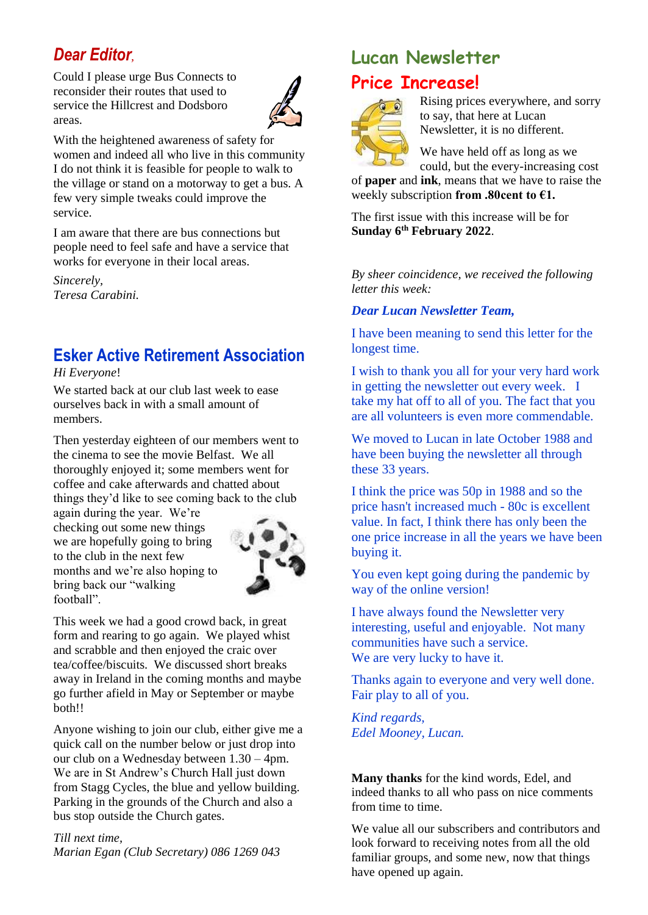### *Dear Editor,*

Could I please urge Bus Connects to reconsider their routes that used to service the Hillcrest and Dodsboro areas.



With the heightened awareness of safety for women and indeed all who live in this community I do not think it is feasible for people to walk to the village or stand on a motorway to get a bus. A few very simple tweaks could improve the service.

I am aware that there are bus connections but people need to feel safe and have a service that works for everyone in their local areas.

*Sincerely, Teresa Carabini.*

### **Esker Active Retirement Association**

*Hi Everyone*!

We started back at our club last week to ease ourselves back in with a small amount of members.

Then yesterday eighteen of our members went to the cinema to see the movie Belfast. We all thoroughly enjoyed it; some members went for coffee and cake afterwards and chatted about things they'd like to see coming back to the club

again during the year. We're checking out some new things we are hopefully going to bring to the club in the next few months and we're also hoping to bring back our "walking football".



This week we had a good crowd back, in great form and rearing to go again. We played whist and scrabble and then enjoyed the craic over tea/coffee/biscuits. We discussed short breaks away in Ireland in the coming months and maybe go further afield in May or September or maybe both!!

Anyone wishing to join our club, either give me a quick call on the number below or just drop into our club on a Wednesday between 1.30 – 4pm. We are in St Andrew's Church Hall just down from Stagg Cycles, the blue and yellow building. Parking in the grounds of the Church and also a bus stop outside the Church gates.

*Till next time, Marian Egan (Club Secretary) 086 1269 043* 

### **Lucan Newsletter Price Increase!**



Rising prices everywhere, and sorry to say, that here at Lucan Newsletter, it is no different.

We have held off as long as we could, but the every-increasing cost

of **paper** and **ink**, means that we have to raise the weekly subscription **from .80cent to €1.**

The first issue with this increase will be for **Sunday 6th February 2022**.

*By sheer coincidence, we received the following letter this week:* 

### *Dear Lucan Newsletter Team,*

I have been meaning to send this letter for the longest time.

I wish to thank you all for your very hard work in getting the newsletter out every week. I take my hat off to all of you. The fact that you are all volunteers is even more commendable.

We moved to Lucan in late October 1988 and have been buying the newsletter all through these 33 years.

I think the price was 50p in 1988 and so the price hasn't increased much - 80c is excellent value. In fact, I think there has only been the one price increase in all the years we have been buying it.

You even kept going during the pandemic by way of the online version!

I have always found the Newsletter very interesting, useful and enjoyable. Not many communities have such a service. We are very lucky to have it.

Thanks again to everyone and very well done. Fair play to all of you.

*Kind regards, Edel Mooney, Lucan.*

**Many thanks** for the kind words, Edel, and indeed thanks to all who pass on nice comments from time to time.

We value all our subscribers and contributors and look forward to receiving notes from all the old familiar groups, and some new, now that things have opened up again.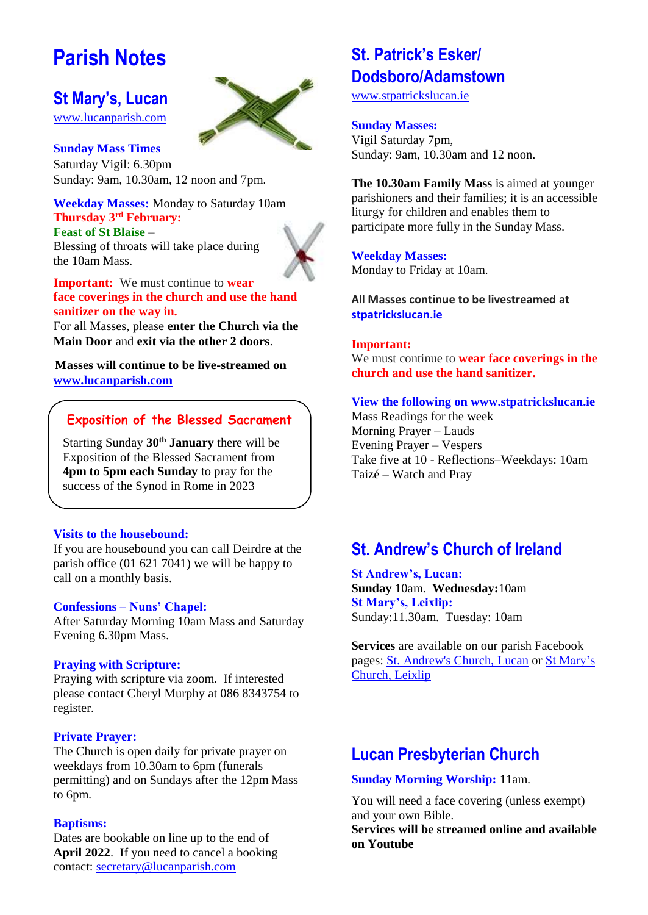## **Parish Notes**

### **St Mary's, Lucan**

[www.lucanparish.com](http://www.lucanparish.com/)

**Sunday Mass Times**  Saturday Vigil: 6.30pm Sunday: 9am, 10.30am, 12 noon and 7pm.

**Weekday Masses:** Monday to Saturday 10am **Thursday 3rd February: Feast of St Blaise** –

Blessing of throats will take place during the 10am Mass.

**Important:** We must continue to **wear face coverings in the church and use the hand sanitizer on the way in.**

For all Masses, please **enter the Church via the Main Door** and **exit via the other 2 doors**.

**Masses will continue to be live-streamed on [www.lucanparish.com](http://www.lucanparish.com/)**

### **Exposition of the Blessed Sacrament**

Starting Sunday **30th January** there will be Exposition of the Blessed Sacrament from **4pm to 5pm each Sunday** to pray for the success of the Synod in Rome in 2023

### **Visits to the housebound:**

If you are housebound you can call Deirdre at the parish office (01 621 7041) we will be happy to call on a monthly basis.

### **Confessions – Nuns' Chapel:**

After Saturday Morning 10am Mass and Saturday Evening 6.30pm Mass.

### **Praying with Scripture:**

Praying with scripture via zoom. If interested please contact Cheryl Murphy at 086 8343754 to register.

### **Private Prayer:**

The Church is open daily for private prayer on weekdays from 10.30am to 6pm (funerals permitting) and on Sundays after the 12pm Mass to 6pm.

### **Baptisms:**

Dates are bookable on line up to the end of **April 2022**. If you need to cancel a booking contact: [secretary@lucanparish.com](mailto:secretary@lucanparish.com?subject=Cancellation%20of%20Baptism%20Booking&body=Dear%20Secretary%2C%0AI%20wish%20to%20cancel%20the%20booking%20made%20for%20baby%3A%0Aon%20date%3A%0AThank%20You)

### **St. Patrick's Esker/ Dodsboro/Adamstown**

[www.stpatrickslucan.ie](http://www.stpatrickslucan.ie/)

### **Sunday Masses:**

Vigil Saturday 7pm, Sunday: 9am, 10.30am and 12 noon.

**The 10.30am Family Mass** is aimed at younger parishioners and their families; it is an accessible liturgy for children and enables them to participate more fully in the Sunday Mass.

**Weekday Masses:** Monday to Friday at 10am.

**All Masses continue to be livestreamed at stpatrickslucan.ie**

### **Important:**

We must continue to **wear face coverings in the church and use the hand sanitizer.** 

### **View the following on www.stpatrickslucan.ie**

Mass Readings for the week Morning Prayer – Lauds Evening Prayer – Vespers Take five at 10 - Reflections–Weekdays: 10am Taizé – Watch and Pray

### **St. Andrew's Church of Ireland**

**St Andrew's, Lucan: Sunday** 10am. **Wednesday:**10am **St Mary's, Leixlip:**  Sunday:11.30am. Tuesday: 10am

**Services** are available on our parish Facebook pages: [St. Andrew's Church, Lucan](https://www.facebook.com/standrewslucan/) or [St Mary's](https://www.facebook.com/stmarysleixlip/)  [Church, Leixlip](https://www.facebook.com/stmarysleixlip/)

### **Lucan Presbyterian Church**

### **Sunday Morning Worship:** 11am.

You will need a face covering (unless exempt) and your own Bible.

**Services will be streamed online and available on Youtube**

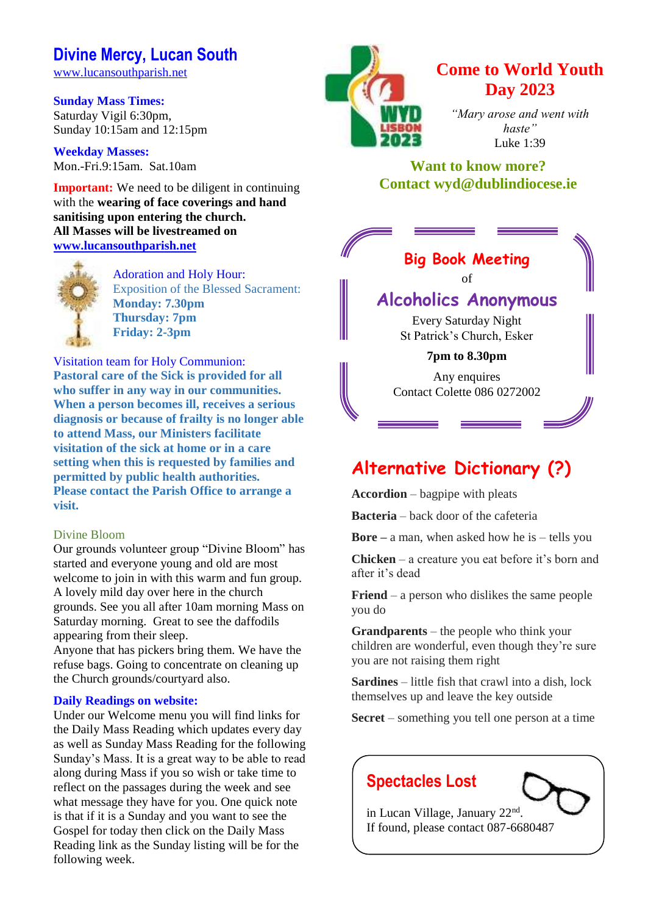### **Divine Mercy, Lucan South**

[www.lucansouthparish.net](http://www.lucansouthparish.net/)

**Sunday Mass Times:** Saturday Vigil 6:30pm, Sunday 10:15am and 12:15pm

**Weekday Masses:** Mon.-Fri.9:15am. Sat.10am

**Important:** We need to be diligent in continuing with the **wearing of face coverings and hand sanitising upon entering the church. All Masses will be livestreamed on [www.lucansouthparish.net](http://www.lucansouthparish.net/)**



Adoration and Holy Hour: Exposition of the Blessed Sacrament: **Monday: 7.30pm Thursday: 7pm Friday: 2-3pm**

Visitation team for Holy Communion: **Pastoral care of the Sick is provided for all who suffer in any way in our communities. When a person becomes ill, receives a serious diagnosis or because of frailty is no longer able to attend Mass, our Ministers facilitate visitation of the sick at home or in a care setting when this is requested by families and permitted by public health authorities. Please contact the Parish Office to arrange a visit.**

### Divine Bloom

Our grounds volunteer group "Divine Bloom" has started and everyone young and old are most welcome to join in with this warm and fun group. A lovely mild day over here in the church grounds. See you all after 10am morning Mass on Saturday morning. Great to see the daffodils appearing from their sleep.

Anyone that has pickers bring them. We have the refuse bags. Going to concentrate on cleaning up the Church grounds/courtyard also.

### **Daily Readings on website:**

Under our Welcome menu you will find links for the Daily Mass Reading which updates every day as well as Sunday Mass Reading for the following Sunday's Mass. It is a great way to be able to read along during Mass if you so wish or take time to reflect on the passages during the week and see what message they have for you. One quick note is that if it is a Sunday and you want to see the Gospel for today then click on the Daily Mass Reading link as the Sunday listing will be for the following week.



### **Come to World Youth Day 2023**

*"Mary arose and went with haste"* Luke 1:39

### **Want to know more? Contact wyd@dublindiocese.ie**

| <b>Big Book Meeting</b>     |  |
|-----------------------------|--|
| of                          |  |
| <b>Alcoholics Anonymous</b> |  |
| Every Saturday Night        |  |
| St Patrick's Church, Esker  |  |

### **7pm to 8.30pm**

Any enquires Contact Colette 086 0272002

### **Alternative Dictionary (?)**

**Accordion** – bagpipe with pleats

**Bacteria** – back door of the cafeteria

**Bore –** a man, when asked how he is – tells you

**Chicken** – a creature you eat before it's born and after it's dead

**Friend** – a person who dislikes the same people you do

**Grandparents** – the people who think your children are wonderful, even though they're sure you are not raising them right

**Sardines** – little fish that crawl into a dish, lock themselves up and leave the key outside

**Secret** – something you tell one person at a time

### **Spectacles Lost**



in Lucan Village, January 22<sup>nd</sup>. If found, please contact 087-6680487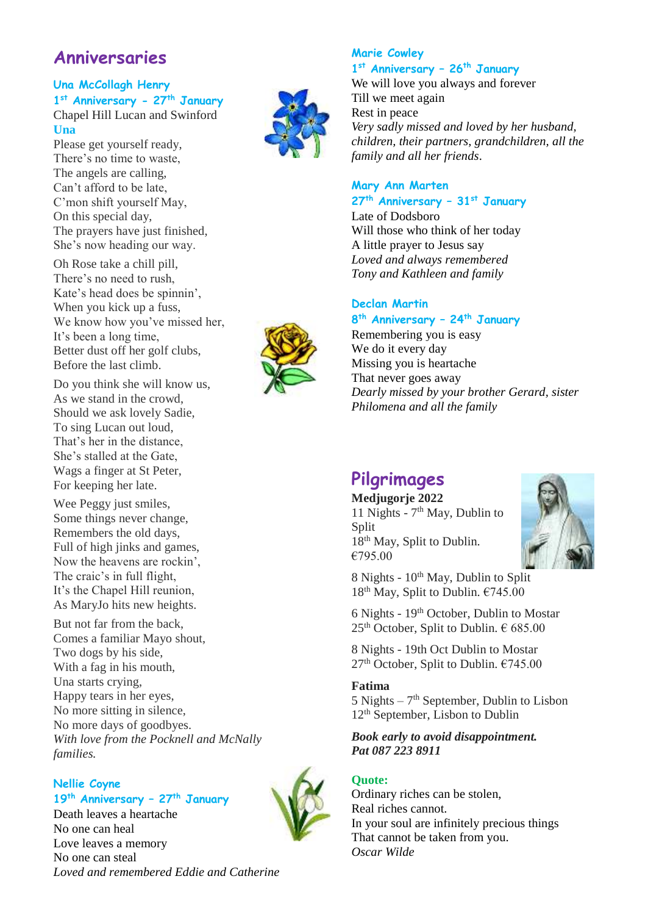### **Anniversaries**

### **Una McCollagh Henry 1 st Anniversary - 27th January**

Chapel Hill Lucan and Swinford **Una**

Please get yourself ready, There's no time to waste, The angels are calling, Can't afford to be late, C'mon shift yourself May, On this special day, The prayers have just finished, She's now heading our way.

Oh Rose take a chill pill, There's no need to rush, Kate's head does be spinnin', When you kick up a fuss, We know how you've missed her, It's been a long time, Better dust off her golf clubs, Before the last climb.

Do you think she will know us, As we stand in the crowd, Should we ask lovely Sadie, To sing Lucan out loud, That's her in the distance, She's stalled at the Gate, Wags a finger at St Peter, For keeping her late.

Wee Peggy just smiles, Some things never change, Remembers the old days, Full of high jinks and games, Now the heavens are rockin', The craic's in full flight, It's the Chapel Hill reunion, As MaryJo hits new heights.

But not far from the back, Comes a familiar Mayo shout, Two dogs by his side, With a fag in his mouth, Una starts crying, Happy tears in her eyes, No more sitting in silence, No more days of goodbyes. *With love from the Pocknell and McNally families.*

### **Nellie Coyne 19th Anniversary – 27th January**

Death leaves a heartache No one can heal Love leaves a memory No one can steal *Loved and remembered Eddie and Catherine*



### **Marie Cowley 1 st Anniversary – 26th January**

We will love you always and forever Till we meet again Rest in peace *Very sadly missed and loved by her husband, children, their partners, grandchildren, all the family and all her friends*.

### **Mary Ann Marten**

### **27th Anniversary – 31st January**

Late of Dodsboro Will those who think of her today A little prayer to Jesus say *Loved and always remembered Tony and Kathleen and family*

### **Declan Martin**

#### **8 th Anniversary – 24th January**

Remembering you is easy We do it every day Missing you is heartache That never goes away *Dearly missed by your brother Gerard, sister Philomena and all the family* 

### **Pilgrimages**

**Medjugorje 2022** 11 Nights - 7 th May, Dublin to Split 18<sup>th</sup> May, Split to Dublin. €795.00



8 Nights - 10<sup>th</sup> May, Dublin to Split  $18<sup>th</sup>$  May, Split to Dublin.  $€745.00$ 

6 Nights - 19th October, Dublin to Mostar  $25<sup>th</sup>$  October, Split to Dublin.  $\epsilon$  685.00

8 Nights - 19th Oct Dublin to Mostar  $27<sup>th</sup>$  October, Split to Dublin.  $€745.00$ 

### **Fatima**

 $5$  Nights  $-7<sup>th</sup>$  September, Dublin to Lisbon 12<sup>th</sup> September, Lisbon to Dublin

*Book early to avoid disappointment. Pat 087 223 8911*

### **Quote:**

Ordinary riches can be stolen, Real riches cannot. In your soul are infinitely precious things That cannot be taken from you. *Oscar Wilde*

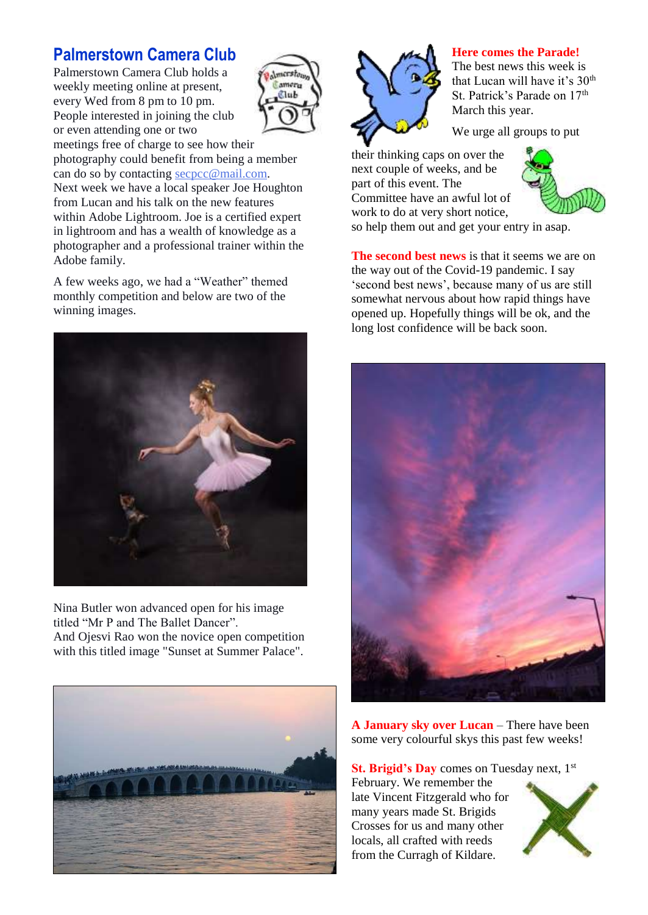### **Palmerstown Camera Club**

Palmerstown Camera Club holds a weekly meeting online at present, every Wed from 8 pm to 10 pm. People interested in joining the club or even attending one or two



meetings free of charge to see how their photography could benefit from being a member can do so by contacting [secpcc@mail.com.](mailto:secpcc@mail.com) Next week we have a local speaker Joe Houghton from Lucan and his talk on the new features within Adobe Lightroom. Joe is a certified expert in lightroom and has a wealth of knowledge as a photographer and a professional trainer within the Adobe family.

A few weeks ago, we had a "Weather" themed monthly competition and below are two of the winning images.



Nina Butler won advanced open for his image titled "Mr P and The Ballet Dancer". And Ojesvi Rao won the novice open competition with this titled image "Sunset at Summer Palace".





#### **Here comes the Parade!**

The best news this week is that Lucan will have it's 30<sup>th</sup> St. Patrick's Parade on 17<sup>th</sup> March this year.

We urge all groups to put

their thinking caps on over the next couple of weeks, and be part of this event. The Committee have an awful lot of work to do at very short notice,



so help them out and get your entry in asap.

**The second best news** is that it seems we are on the way out of the Covid-19 pandemic. I say 'second best news', because many of us are still somewhat nervous about how rapid things have opened up. Hopefully things will be ok, and the long lost confidence will be back soon.



**A January sky over Lucan** – There have been some very colourful skys this past few weeks!

**St. Brigid's Day** comes on Tuesday next, 1<sup>st</sup> February. We remember the late Vincent Fitzgerald who for many years made St. Brigids Crosses for us and many other locals, all crafted with reeds from the Curragh of Kildare.

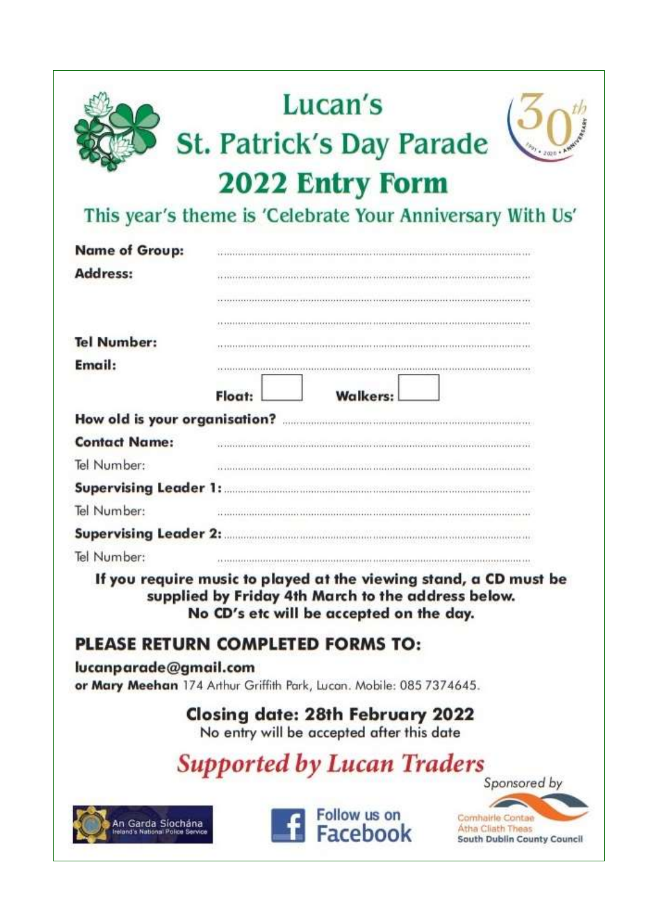

# Lucan's St. Patrick's Day Parade 2022 Entry Form



## This year's theme is 'Celebrate Your Anniversary With Us'

| <b>Name of Group:</b>         |        |                                                                                                                                                                     |                                                                      |  |  |
|-------------------------------|--------|---------------------------------------------------------------------------------------------------------------------------------------------------------------------|----------------------------------------------------------------------|--|--|
| <b>Address:</b>               |        |                                                                                                                                                                     |                                                                      |  |  |
|                               |        |                                                                                                                                                                     |                                                                      |  |  |
|                               |        |                                                                                                                                                                     |                                                                      |  |  |
| <b>Tel Number:</b>            |        |                                                                                                                                                                     |                                                                      |  |  |
| Email:                        |        |                                                                                                                                                                     |                                                                      |  |  |
|                               | Float: | <b>Walkers:</b>                                                                                                                                                     |                                                                      |  |  |
| How old is your organisation? |        |                                                                                                                                                                     |                                                                      |  |  |
| <b>Contact Name:</b>          |        |                                                                                                                                                                     |                                                                      |  |  |
| Tel Number:                   |        |                                                                                                                                                                     |                                                                      |  |  |
| <b>Supervising Leader 1:</b>  |        |                                                                                                                                                                     |                                                                      |  |  |
| Tel Number:                   |        |                                                                                                                                                                     |                                                                      |  |  |
| <b>Supervising Leader 2:</b>  |        |                                                                                                                                                                     |                                                                      |  |  |
| Tel Number:                   |        |                                                                                                                                                                     |                                                                      |  |  |
|                               |        | If you require music to played at the viewing stand, a CD must be<br>supplied by Friday 4th March to the address below.<br>No CD's etc will be accepted on the day. |                                                                      |  |  |
|                               |        | PLEASE RETURN COMPLETED FORMS TO:                                                                                                                                   |                                                                      |  |  |
| lucanparade@gmail.com         |        | or Mary Meehan 174 Arthur Griffith Park, Lucan. Mobile: 085 7374645.                                                                                                |                                                                      |  |  |
|                               |        | <b>Closing date: 28th February 2022</b><br>No entry will be accepted after this date                                                                                |                                                                      |  |  |
|                               |        | <b>Supported by Lucan Traders</b>                                                                                                                                   | Sponsored by                                                         |  |  |
| An Garda Siochána             |        | Follow us on<br>Facebook                                                                                                                                            | Comhairle Contae<br>Atha Cliath Theas<br>South Dublin County Council |  |  |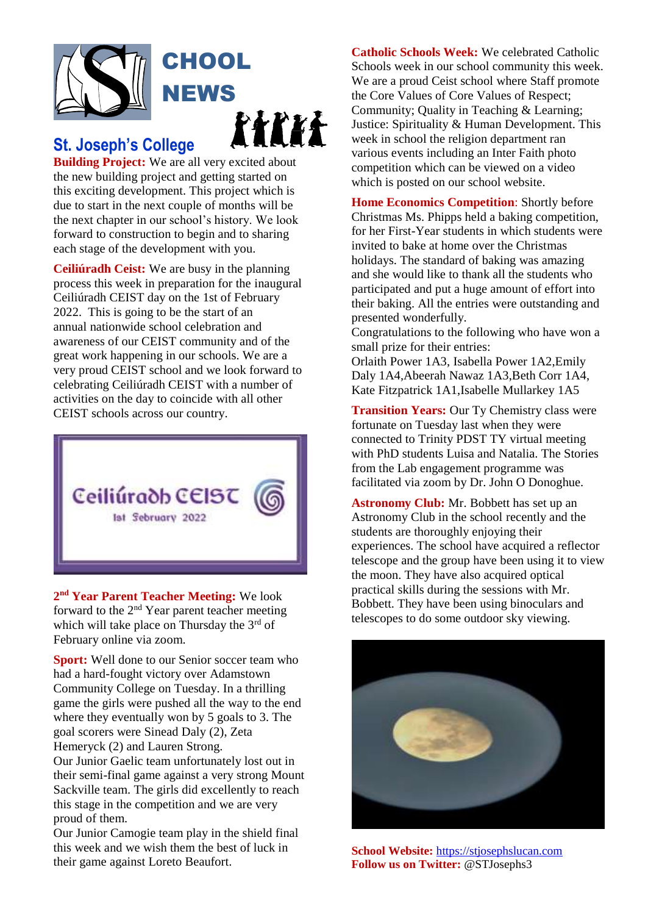

### **St. Joseph's College**

**Building Project:** We are all very excited about the new building project and getting started on this exciting development. This project which is due to start in the next couple of months will be the next chapter in our school's history. We look forward to construction to begin and to sharing each stage of the development with you.

**Ceiliúradh Ceist:** We are busy in the planning process this week in preparation for the inaugural Ceiliúradh CEIST day on the 1st of February 2022. This is going to be the start of an annual nationwide school celebration and awareness of our CEIST community and of the great work happening in our schools. We are a very proud CEIST school and we look forward to celebrating Ceiliúradh CEIST with a number of activities on the day to coincide with all other CEIST schools across our country.



**2 nd Year Parent Teacher Meeting:** We look forward to the 2nd Year parent teacher meeting which will take place on Thursday the 3<sup>rd</sup> of February online via zoom.

**Sport:** Well done to our Senior soccer team who had a hard-fought victory over Adamstown Community College on Tuesday. In a thrilling game the girls were pushed all the way to the end where they eventually won by 5 goals to 3. The goal scorers were Sinead Daly (2), Zeta Hemeryck (2) and Lauren Strong.

Our Junior Gaelic team unfortunately lost out in their semi-final game against a very strong Mount Sackville team. The girls did excellently to reach this stage in the competition and we are very proud of them.

Our Junior Camogie team play in the shield final this week and we wish them the best of luck in their game against Loreto Beaufort.

**Catholic Schools Week:** We celebrated Catholic Schools week in our school community this week. We are a proud Ceist school where Staff promote the Core Values of Core Values of Respect; Community; Quality in Teaching & Learning; Justice: Spirituality & Human Development. This week in school the religion department ran various events including an Inter Faith photo competition which can be viewed on a video which is posted on our school website.

**Home Economics Competition**: Shortly before Christmas Ms. Phipps held a baking competition, for her First-Year students in which students were invited to bake at home over the Christmas holidays. The standard of baking was amazing and she would like to thank all the students who participated and put a huge amount of effort into their baking. All the entries were outstanding and presented wonderfully.

Congratulations to the following who have won a small prize for their entries:

Orlaith Power 1A3, Isabella Power 1A2,Emily Daly 1A4,Abeerah Nawaz 1A3,Beth Corr 1A4, Kate Fitzpatrick 1A1,Isabelle Mullarkey 1A5

**Transition Years:** Our Ty Chemistry class were fortunate on Tuesday last when they were connected to Trinity PDST TY virtual meeting with PhD students Luisa and Natalia. The Stories from the Lab engagement programme was facilitated via zoom by Dr. John O Donoghue.

**Astronomy Club:** Mr. Bobbett has set up an Astronomy Club in the school recently and the students are thoroughly enjoying their experiences. The school have acquired a reflector telescope and the group have been using it to view the moon. They have also acquired optical practical skills during the sessions with Mr. Bobbett. They have been using binoculars and telescopes to do some outdoor sky viewing.



**School Website:** [https://stjosephslucan.com](https://stjosephslucan.com/) **Follow us on Twitter:** @STJosephs3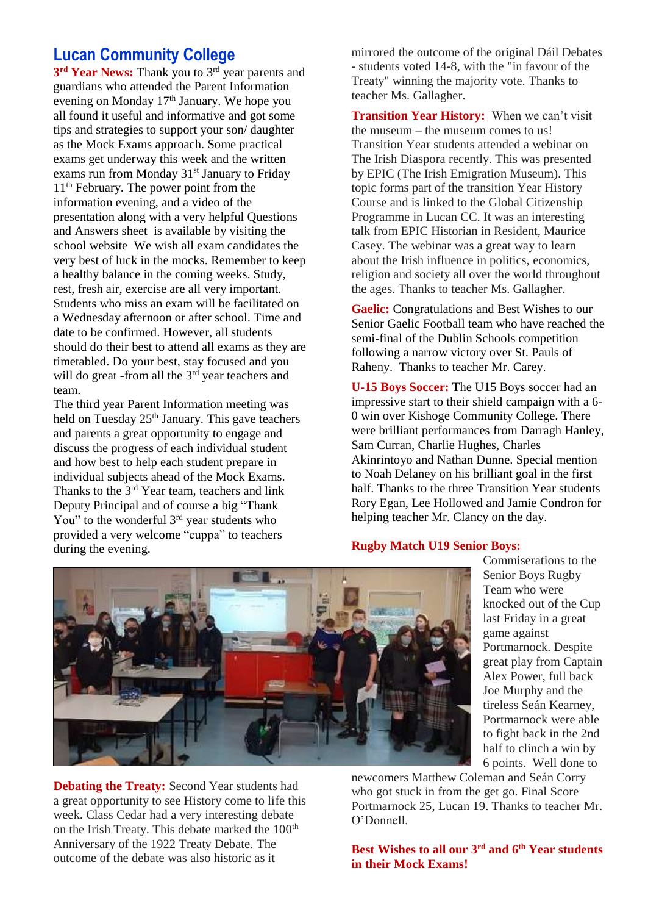### **Lucan Community College**

**3 rd Year News:** Thank you to 3 rd year parents and guardians who attended the Parent Information evening on Monday 17<sup>th</sup> January. We hope you all found it useful and informative and got some tips and strategies to support your son/ daughter as the Mock Exams approach. Some practical exams get underway this week and the written exams run from Monday  $31<sup>st</sup>$  January to Friday 11th February. The power point from the information evening, and a video of the presentation along with a very helpful Questions and Answers sheet is available by visiting the school website We wish all exam candidates the very best of luck in the mocks. Remember to keep a healthy balance in the coming weeks. Study, rest, fresh air, exercise are all very important. Students who miss an exam will be facilitated on a Wednesday afternoon or after school. Time and date to be confirmed. However, all students should do their best to attend all exams as they are timetabled. Do your best, stay focused and you will do great -from all the 3<sup>rd</sup> year teachers and team.

The third year Parent Information meeting was held on Tuesday  $25<sup>th</sup>$  January. This gave teachers and parents a great opportunity to engage and discuss the progress of each individual student and how best to help each student prepare in individual subjects ahead of the Mock Exams. Thanks to the 3<sup>rd</sup> Year team, teachers and link Deputy Principal and of course a big "Thank You" to the wonderful 3<sup>rd</sup> year students who provided a very welcome "cuppa" to teachers during the evening.

mirrored the outcome of the original Dáil Debates - students voted 14-8, with the "in favour of the Treaty" winning the majority vote. Thanks to teacher Ms. Gallagher.

**Transition Year History:** When we can't visit the museum – the museum comes to us! Transition Year students attended a webinar on The Irish Diaspora recently. This was presented by EPIC (The Irish Emigration Museum). This topic forms part of the transition Year History Course and is linked to the Global Citizenship Programme in Lucan CC. It was an interesting talk from EPIC Historian in Resident, Maurice Casey. The webinar was a great way to learn about the Irish influence in politics, economics, religion and society all over the world throughout the ages. Thanks to teacher Ms. Gallagher.

**Gaelic:** Congratulations and Best Wishes to our Senior Gaelic Football team who have reached the semi-final of the Dublin Schools competition following a narrow victory over St. Pauls of Raheny. Thanks to teacher Mr. Carey.

**U-15 Boys Soccer:** The U15 Boys soccer had an impressive start to their shield campaign with a 6- 0 win over Kishoge Community College. There were brilliant performances from Darragh Hanley, Sam Curran, Charlie Hughes, Charles Akinrintoyo and Nathan Dunne. Special mention to Noah Delaney on his brilliant goal in the first half. Thanks to the three Transition Year students Rory Egan, Lee Hollowed and Jamie Condron for helping teacher Mr. Clancy on the day.

#### **Rugby Match U19 Senior Boys:**



**Debating the Treaty:** Second Year students had a great opportunity to see History come to life this week. Class Cedar had a very interesting debate on the Irish Treaty. This debate marked the 100<sup>th</sup> Anniversary of the 1922 Treaty Debate. The outcome of the debate was also historic as it

Commiserations to the Senior Boys Rugby Team who were knocked out of the Cup last Friday in a great game against Portmarnock. Despite great play from Captain Alex Power, full back Joe Murphy and the tireless Seán Kearney, Portmarnock were able to fight back in the 2nd half to clinch a win by 6 points. Well done to

newcomers Matthew Coleman and Seán Corry who got stuck in from the get go. Final Score Portmarnock 25, Lucan 19. Thanks to teacher Mr. O'Donnell.

**Best Wishes to all our 3 rd and 6 th Year students in their Mock Exams!**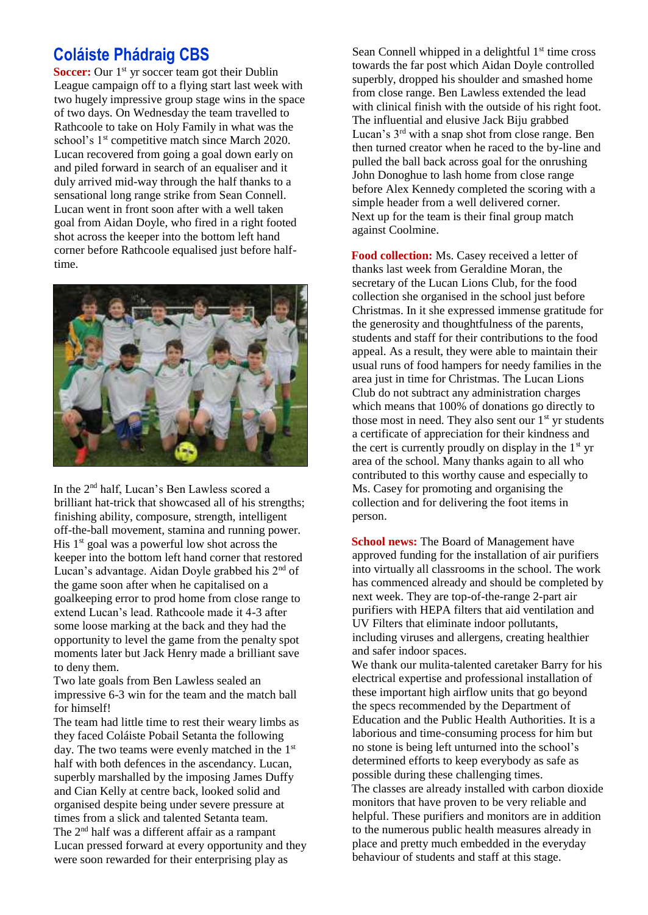### **Coláiste Phádraig CBS**

**Soccer:** Our 1<sup>st</sup> yr soccer team got their Dublin League campaign off to a flying start last week with two hugely impressive group stage wins in the space of two days. On Wednesday the team travelled to Rathcoole to take on Holy Family in what was the school's 1<sup>st</sup> competitive match since March 2020. Lucan recovered from going a goal down early on and piled forward in search of an equaliser and it duly arrived mid-way through the half thanks to a sensational long range strike from Sean Connell. Lucan went in front soon after with a well taken goal from Aidan Doyle, who fired in a right footed shot across the keeper into the bottom left hand corner before Rathcoole equalised just before halftime.



In the 2<sup>nd</sup> half, Lucan's Ben Lawless scored a brilliant hat-trick that showcased all of his strengths; finishing ability, composure, strength, intelligent off-the-ball movement, stamina and running power. His  $1<sup>st</sup>$  goal was a powerful low shot across the keeper into the bottom left hand corner that restored Lucan's advantage. Aidan Doyle grabbed his 2nd of the game soon after when he capitalised on a goalkeeping error to prod home from close range to extend Lucan's lead. Rathcoole made it 4-3 after some loose marking at the back and they had the opportunity to level the game from the penalty spot moments later but Jack Henry made a brilliant save to deny them.

Two late goals from Ben Lawless sealed an impressive 6-3 win for the team and the match ball for himself!

The team had little time to rest their weary limbs as they faced Coláiste Pobail Setanta the following day. The two teams were evenly matched in the  $1<sup>st</sup>$ half with both defences in the ascendancy. Lucan, superbly marshalled by the imposing James Duffy and Cian Kelly at centre back, looked solid and organised despite being under severe pressure at times from a slick and talented Setanta team. The 2nd half was a different affair as a rampant Lucan pressed forward at every opportunity and they were soon rewarded for their enterprising play as

Sean Connell whipped in a delightful  $1<sup>st</sup>$  time cross towards the far post which Aidan Doyle controlled superbly, dropped his shoulder and smashed home from close range. Ben Lawless extended the lead with clinical finish with the outside of his right foot. The influential and elusive Jack Biju grabbed Lucan's 3rd with a snap shot from close range. Ben then turned creator when he raced to the by-line and pulled the ball back across goal for the onrushing John Donoghue to lash home from close range before Alex Kennedy completed the scoring with a simple header from a well delivered corner. Next up for the team is their final group match against Coolmine.

**Food collection:** Ms. Casey received a letter of thanks last week from Geraldine Moran, the secretary of the Lucan Lions Club, for the food collection she organised in the school just before Christmas. In it she expressed immense gratitude for the generosity and thoughtfulness of the parents, students and staff for their contributions to the food appeal. As a result, they were able to maintain their usual runs of food hampers for needy families in the area just in time for Christmas. The Lucan Lions Club do not subtract any administration charges which means that 100% of donations go directly to those most in need. They also sent our  $1<sup>st</sup>$  yr students a certificate of appreciation for their kindness and the cert is currently proudly on display in the  $1<sup>st</sup>$  yr area of the school. Many thanks again to all who contributed to this worthy cause and especially to Ms. Casey for promoting and organising the collection and for delivering the foot items in person.

**School news:** The Board of Management have approved funding for the installation of air purifiers into virtually all classrooms in the school. The work has commenced already and should be completed by next week. They are top-of-the-range 2-part air purifiers with HEPA filters that aid ventilation and UV Filters that eliminate indoor pollutants, including viruses and allergens, creating healthier and safer indoor spaces.

We thank our mulita-talented caretaker Barry for his electrical expertise and professional installation of these important high airflow units that go beyond the specs recommended by the Department of Education and the Public Health Authorities. It is a laborious and time-consuming process for him but no stone is being left unturned into the school's determined efforts to keep everybody as safe as possible during these challenging times. The classes are already installed with carbon dioxide monitors that have proven to be very reliable and helpful. These purifiers and monitors are in addition to the numerous public health measures already in place and pretty much embedded in the everyday behaviour of students and staff at this stage.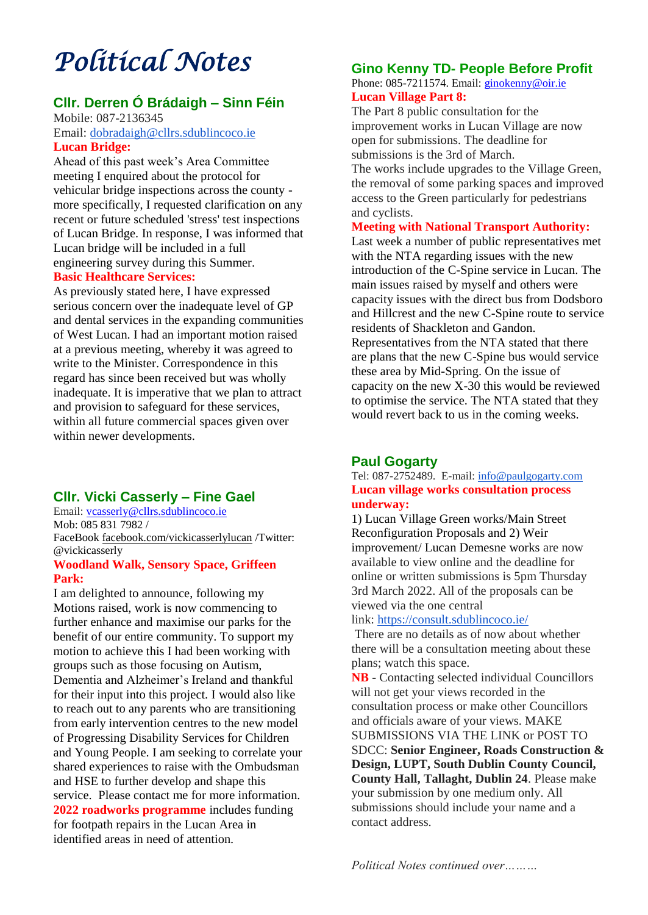## *Political Notes*

### **Cllr. Derren Ó Brádaigh – Sinn Féin**

Mobile: 087-2136345 Email: [dobradaigh@cllrs.sdublincoco.ie](mailto:dobradaigh@cllrs.sdublincoco.ie)

### **Lucan Bridge:**

Ahead of this past week's Area Committee meeting I enquired about the protocol for vehicular bridge inspections across the county more specifically, I requested clarification on any recent or future scheduled 'stress' test inspections of Lucan Bridge. In response, I was informed that Lucan bridge will be included in a full engineering survey during this Summer. **Basic Healthcare Services:**

### As previously stated here, I have expressed serious concern over the inadequate level of GP and dental services in the expanding communities of West Lucan. I had an important motion raised at a previous meeting, whereby it was agreed to write to the Minister. Correspondence in this regard has since been received but was wholly inadequate. It is imperative that we plan to attract and provision to safeguard for these services,

within all future commercial spaces given over within newer developments.

### **Cllr. Vicki Casserly – Fine Gael**

Email: [vcasserly@cllrs.sdublincoco.ie](mailto:vcasserly@cllrs.sdublincoco.ie) Mob: 085 831 7982 / FaceBook [facebook.com/vickicasserlylucan](http://facebook.com/vickicasserlylucan) /Twitter: @vickicasserly

### **Woodland Walk, Sensory Space, Griffeen Park:**

I am delighted to announce, following my Motions raised, work is now commencing to further enhance and maximise our parks for the benefit of our entire community. To support my motion to achieve this I had been working with groups such as those focusing on Autism, Dementia and Alzheimer's Ireland and thankful for their input into this project. I would also like to reach out to any parents who are transitioning from early intervention centres to the new model of Progressing Disability Services for Children and Young People. I am seeking to correlate your shared experiences to raise with the Ombudsman and HSE to further develop and shape this service. Please contact me for more information. **2022 roadworks programme** includes funding for footpath repairs in the Lucan Area in identified areas in need of attention.

### **Gino Kenny TD- People Before Profit**

Phone: 085-7211574. Email: [ginokenny@oir.ie](mailto:ginokenny@oir.ie) **Lucan Village Part 8:**

The Part 8 public consultation for the improvement works in Lucan Village are now open for submissions. The deadline for submissions is the 3rd of March.

The works include upgrades to the Village Green, the removal of some parking spaces and improved access to the Green particularly for pedestrians and cyclists.

### **Meeting with National Transport Authority:**

Last week a number of public representatives met with the NTA regarding issues with the new introduction of the C-Spine service in Lucan. The main issues raised by myself and others were capacity issues with the direct bus from Dodsboro and Hillcrest and the new C-Spine route to service residents of Shackleton and Gandon. Representatives from the NTA stated that there are plans that the new C-Spine bus would service these area by Mid-Spring. On the issue of capacity on the new X-30 this would be reviewed to optimise the service. The NTA stated that they would revert back to us in the coming weeks.

### **Paul Gogarty**

Tel: 087-2752489. E-mail: [info@paulgogarty.com](mailto:info@paulgogarty.com) **Lucan village works consultation process underway:**

1) Lucan Village Green works/Main Street Reconfiguration Proposals and 2) Weir improvement/ Lucan Demesne works are now available to view online and the deadline for online or written submissions is 5pm Thursday 3rd March 2022. All of the proposals can be viewed via the one central

### link: <https://consult.sdublincoco.ie/>

There are no details as of now about whether there will be a consultation meeting about these plans; watch this space.

**NB** - Contacting selected individual Councillors will not get your views recorded in the consultation process or make other Councillors and officials aware of your views. MAKE SUBMISSIONS VIA THE LINK or POST TO SDCC: **Senior Engineer, Roads Construction & Design, LUPT, South Dublin County Council, County Hall, Tallaght, Dublin 24**. Please make your submission by one medium only. All submissions should include your name and a contact address.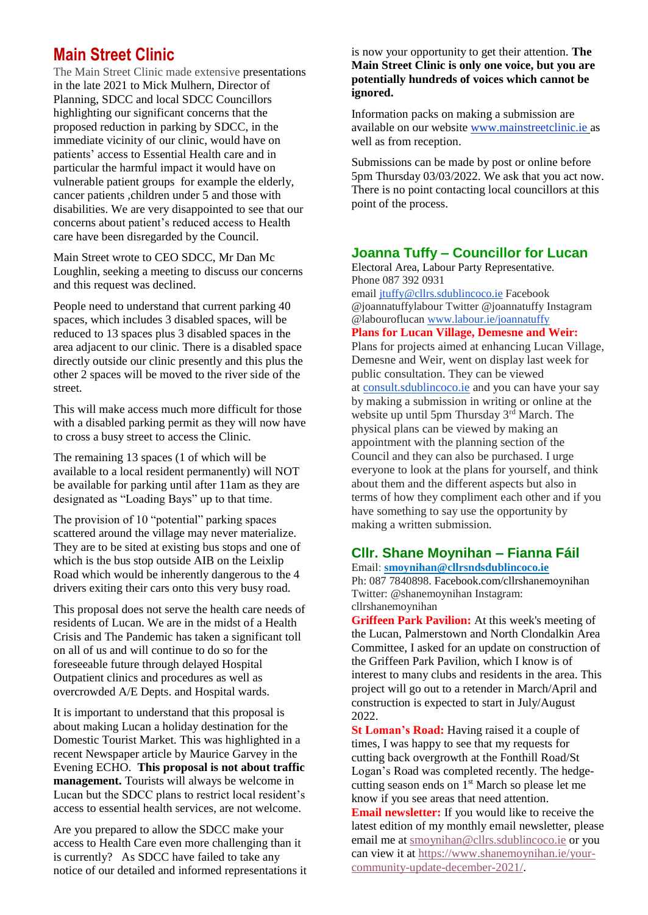### **Main Street Clinic**

The Main Street Clinic made extensive presentations in the late 2021 to Mick Mulhern, Director of Planning, SDCC and local SDCC Councillors highlighting our significant concerns that the proposed reduction in parking by SDCC, in the immediate vicinity of our clinic, would have on patients' access to Essential Health care and in particular the harmful impact it would have on vulnerable patient groups for example the elderly, cancer patients ,children under 5 and those with disabilities. We are very disappointed to see that our concerns about patient's reduced access to Health care have been disregarded by the Council.

Main Street wrote to CEO SDCC, Mr Dan Mc Loughlin, seeking a meeting to discuss our concerns and this request was declined.

People need to understand that current parking 40 spaces, which includes 3 disabled spaces, will be reduced to 13 spaces plus 3 disabled spaces in the area adjacent to our clinic. There is a disabled space directly outside our clinic presently and this plus the other 2 spaces will be moved to the river side of the street.

This will make access much more difficult for those with a disabled parking permit as they will now have to cross a busy street to access the Clinic.

The remaining 13 spaces (1 of which will be available to a local resident permanently) will NOT be available for parking until after 11am as they are designated as "Loading Bays" up to that time.

The provision of 10 "potential" parking spaces scattered around the village may never materialize. They are to be sited at existing bus stops and one of which is the bus stop outside AIB on the Leixlip Road which would be inherently dangerous to the 4 drivers exiting their cars onto this very busy road.

This proposal does not serve the health care needs of residents of Lucan. We are in the midst of a Health Crisis and The Pandemic has taken a significant toll on all of us and will continue to do so for the foreseeable future through delayed Hospital Outpatient clinics and procedures as well as overcrowded A/E Depts. and Hospital wards.

It is important to understand that this proposal is about making Lucan a holiday destination for the Domestic Tourist Market. This was highlighted in a recent Newspaper article by Maurice Garvey in the Evening ECHO. **This proposal is not about traffic management.** Tourists will always be welcome in Lucan but the SDCC plans to restrict local resident's access to essential health services, are not welcome.

Are you prepared to allow the SDCC make your access to Health Care even more challenging than it is currently? As SDCC have failed to take any notice of our detailed and informed representations it

#### is now your opportunity to get their attention. **The Main Street Clinic is only one voice, but you are potentially hundreds of voices which cannot be ignored.**

Information packs on making a submission are available on our website [www.mainstreetclinic.ie](http://www.mainstreetclinic.ie/) as well as from reception.

Submissions can be made by post or online before 5pm Thursday 03/03/2022. We ask that you act now. There is no point contacting local councillors at this point of the process.

### **Joanna Tuffy – Councillor for Lucan**

Electoral Area, Labour Party Representative. Phone 087 392 0931

email [jtuffy@cllrs.sdublincoco.ie](mailto:jtuffy@cllrs.sdublincoco.ie) Facebook @joannatuffylabour Twitter @joannatuffy Instagram @labouroflucan [www.labour.ie/joannatuffy](http://www.labour.ie/joannatuffy)

**Plans for Lucan Village, Demesne and Weir:**

Plans for projects aimed at enhancing Lucan Village, Demesne and Weir, went on display last week for public consultation. They can be viewed at [consult.sdublincoco.ie](http://consult.sdublincoco.ie/) and you can have your say by making a submission in writing or online at the website up until 5pm Thursday 3<sup>rd</sup> March. The physical plans can be viewed by making an appointment with the planning section of the Council and they can also be purchased. I urge everyone to look at the plans for yourself, and think about them and the different aspects but also in terms of how they compliment each other and if you have something to say use the opportunity by making a written submission.

### **Cllr. Shane Moynihan – Fianna Fáil**

Email: **smoynihan@cllrsndsdublincoco.ie** Ph: 087 7840898. Facebook.com/cllrshanemoynihan Twitter: @shanemoynihan Instagram: cllrshanemoynihan

**Griffeen Park Pavilion:** At this week's meeting of the Lucan, Palmerstown and North Clondalkin Area Committee, I asked for an update on construction of the Griffeen Park Pavilion, which I know is of interest to many clubs and residents in the area. This project will go out to a retender in March/April and construction is expected to start in July/August 2022.

**St Loman's Road:** Having raised it a couple of times, I was happy to see that my requests for cutting back overgrowth at the Fonthill Road/St Logan's Road was completed recently. The hedgecutting season ends on 1<sup>st</sup> March so please let me know if you see areas that need attention. **Email newsletter:** If you would like to receive the

latest edition of my monthly email newsletter, please email me at [smoynihan@cllrs.sdublincoco.ie](mailto:smoynihan@cllrs.sdublincoco.ie) or you can view it at [https://www.shanemoynihan.ie/your](https://www.shanemoynihan.ie/your-community-update-december-2021/)[community-update-december-2021/.](https://www.shanemoynihan.ie/your-community-update-december-2021/)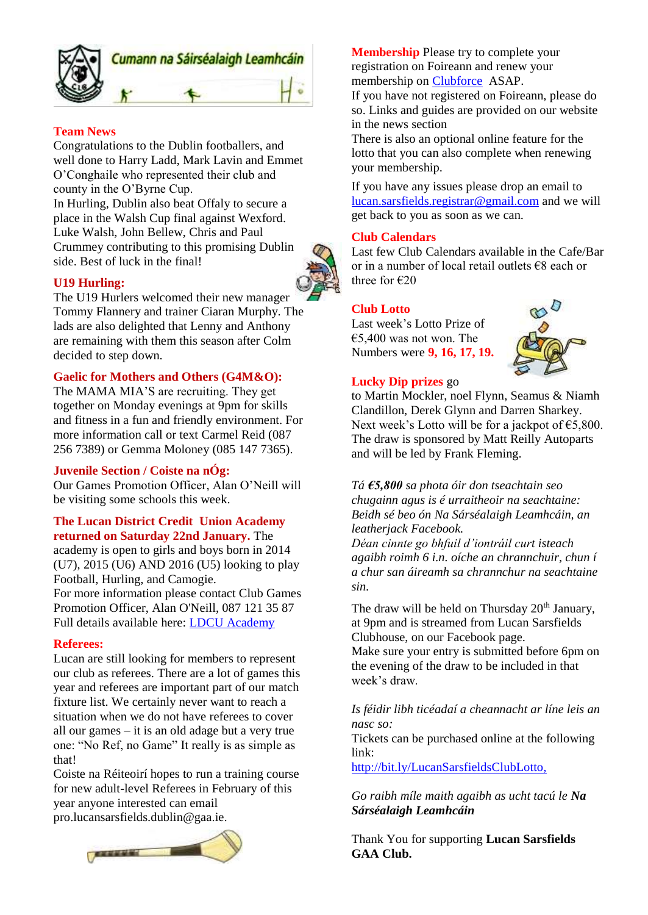

### **Team News**

Congratulations to the Dublin footballers, and well done to Harry Ladd, Mark Lavin and Emmet O'Conghaile who represented their club and county in the O'Byrne Cup.

In Hurling, Dublin also beat Offaly to secure a place in the Walsh Cup final against Wexford. Luke Walsh, John Bellew, Chris and Paul Crummey contributing to this promising Dublin side. Best of luck in the final!

### **U19 Hurling:**

The U19 Hurlers welcomed their new manager Tommy Flannery and trainer Ciaran Murphy. The lads are also delighted that Lenny and Anthony are remaining with them this season after Colm decided to step down.

### **Gaelic for Mothers and Others (G4M&O):**

The MAMA MIA'S are recruiting. They get together on Monday evenings at 9pm for skills and fitness in a fun and friendly environment. For more information call or text Carmel Reid (087 256 7389) or Gemma Moloney (085 147 7365).

#### **Juvenile Section / Coiste na nÓg:**

Our Games Promotion Officer, Alan O'Neill will be visiting some schools this week.

#### **The Lucan District Credit Union Academy returned on Saturday 22nd January.** The

academy is open to girls and boys born in 2014 (U7), 2015 (U6) AND 2016 (U5) looking to play Football, Hurling, and Camogie. For more information please contact Club Games Promotion Officer, Alan O'Neill, 087 121 35 87 Full details available here: [LDCU Academy](http://www.lucansarsfields.ie/content_page/103757/)

#### **Referees:**

Lucan are still looking for members to represent our club as referees. There are a lot of games this year and referees are important part of our match fixture list. We certainly never want to reach a situation when we do not have referees to cover all our games – it is an old adage but a very true one: "No Ref, no Game" It really is as simple as that!

Coiste na Réiteoirí hopes to run a training course for new adult-level Referees in February of this year anyone interested can email pro.lucansarsfields.dublin@gaa.ie.



**Membership** Please try to complete your registration on Foireann and renew your membership on [Clubforce](https://member.clubforce.com/memberships_cart_m.asp?LL_ID=273&clb=1) ASAP.

If you have not registered on Foireann, please do so. Links and guides are provided on our website in the news section

There is also an optional online feature for the lotto that you can also complete when renewing your membership.

If you have any issues please drop an email to [lucan.sarsfields.registrar@gmail.com](mailto:lucan.sarsfields.registrar@gmail.com) and we will get back to you as soon as we can.

#### **Club Calendars**

Last few Club Calendars available in the Cafe/Bar or in a number of local retail outlets €8 each or three for  $\epsilon$ 20

### **Club Lotto**

Last week's Lotto Prize of  $€5,400$  was not won. The Numbers were **9, 16, 17, 19.**



#### **Lucky Dip prizes** go

to Martin Mockler, noel Flynn, Seamus & Niamh Clandillon, Derek Glynn and Darren Sharkey. Next week's Lotto will be for a jackpot of  $€5,800$ . The draw is sponsored by Matt Reilly Autoparts and will be led by Frank Fleming.

*Tá €5,800 sa phota óir don tseachtain seo chugainn agus is é urraitheoir na seachtaine: Beidh sé beo ón Na Sárséalaigh Leamhcáin, an leatherjack Facebook.*

*Déan cinnte go bhfuil d'iontráil curt isteach agaibh roimh 6 i.n. oíche an chrannchuir, chun í a chur san áireamh sa chrannchur na seachtaine sin.*

The draw will be held on Thursday  $20<sup>th</sup>$  January, at 9pm and is streamed from Lucan Sarsfields Clubhouse, on our Facebook page.

Make sure your entry is submitted before 6pm on the evening of the draw to be included in that week's draw.

#### *Is féidir libh ticéadaí a cheannacht ar líne leis an nasc so:*

Tickets can be purchased online at the following link:

<http://bit.ly/LucanSarsfieldsClubLotto,>

*Go raibh míle maith agaibh as ucht tacú le Na Sárséalaigh Leamhcáin*

Thank You for supporting **Lucan Sarsfields GAA Club.**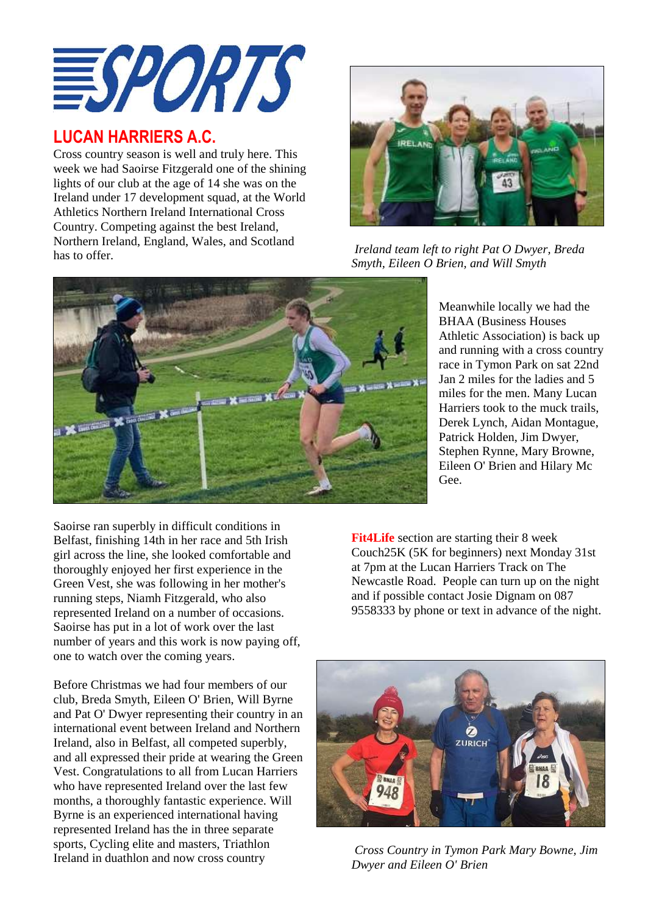

### **LUCAN HARRIERS A.C.**

Cross country season is well and truly here. This week we had Saoirse Fitzgerald one of the shining lights of our club at the age of 14 she was on the Ireland under 17 development squad, at the World Athletics Northern Ireland International Cross Country. Competing against the best Ireland, Northern Ireland, England, Wales, and Scotland has to offer.



*Ireland team left to right Pat O Dwyer, Breda Smyth, Eileen O Brien, and Will Smyth*



Athletic Association) is back up and running with a cross country race in Tymon Park on sat 22nd Jan 2 miles for the ladies and 5 miles for the men. Many Lucan Harriers took to the muck trails, Derek Lynch, Aidan Montague, Patrick Holden, Jim Dwyer, Stephen Rynne, Mary Browne, Eileen O' Brien and Hilary Mc Gee.

Meanwhile locally we had the BHAA (Business Houses

Saoirse ran superbly in difficult conditions in Belfast, finishing 14th in her race and 5th Irish girl across the line, she looked comfortable and thoroughly enjoyed her first experience in the Green Vest, she was following in her mother's running steps, Niamh Fitzgerald, who also represented Ireland on a number of occasions. Saoirse has put in a lot of work over the last number of years and this work is now paying off, one to watch over the coming years.

Before Christmas we had four members of our club, Breda Smyth, Eileen O' Brien, Will Byrne and Pat O' Dwyer representing their country in an international event between Ireland and Northern Ireland, also in Belfast, all competed superbly, and all expressed their pride at wearing the Green Vest. Congratulations to all from Lucan Harriers who have represented Ireland over the last few months, a thoroughly fantastic experience. Will Byrne is an experienced international having represented Ireland has the in three separate sports, Cycling elite and masters, Triathlon Ireland in duathlon and now cross country

**Fit4Life** section are starting their 8 week Couch25K (5K for beginners) next Monday 31st at 7pm at the Lucan Harriers Track on The Newcastle Road. People can turn up on the night and if possible contact Josie Dignam on 087 9558333 by phone or text in advance of the night.



*Cross Country in Tymon Park Mary Bowne, Jim Dwyer and Eileen O' Brien*